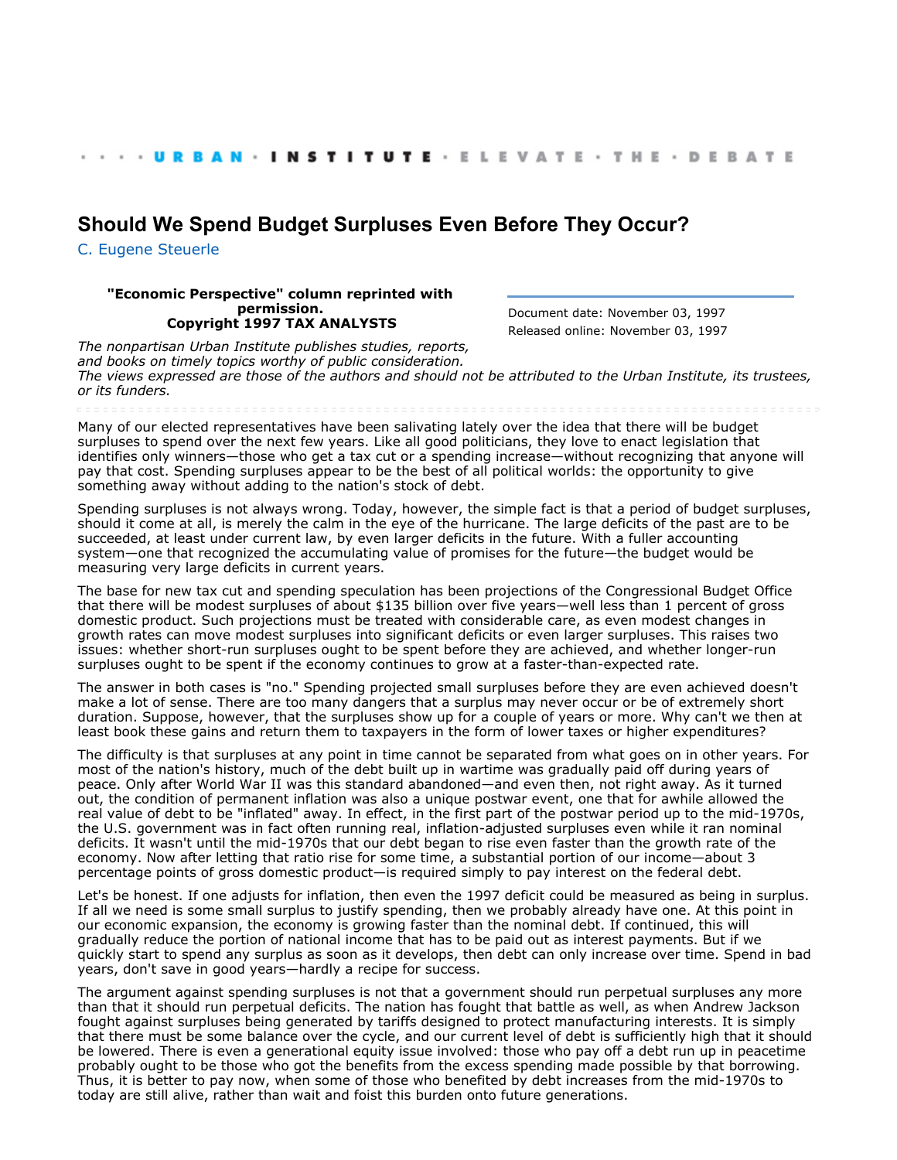## **[Should We Spend Budget Surpluses Even Before They Occur?](http://webarchive.urban.org/index.cfm)**

[C. Eugene Steuerle](http://www.urban.org/CEugeneSteuerle)

## **"Economic Perspective" column reprinted with permission. Copyright 1997 TAX ANALYSTS**

Document date: November 03, 1997 Released online: November 03, 1997

*The nonpartisan Urban Institute publishes studies, reports, and books on timely topics worthy of public consideration. The views expressed are those of the authors and should not be attributed to the Urban Institute, its trustees, or its funders.*

Many of our elected representatives have been salivating lately over the idea that there will be budget surpluses to spend over the next few years. Like all good politicians, they love to enact legislation that identifies only winners—those who get a tax cut or a spending increase—without recognizing that anyone will pay that cost. Spending surpluses appear to be the best of all political worlds: the opportunity to give something away without adding to the nation's stock of debt.

Spending surpluses is not always wrong. Today, however, the simple fact is that a period of budget surpluses, should it come at all, is merely the calm in the eye of the hurricane. The large deficits of the past are to be succeeded, at least under current law, by even larger deficits in the future. With a fuller accounting system—one that recognized the accumulating value of promises for the future—the budget would be measuring very large deficits in current years.

The base for new tax cut and spending speculation has been projections of the Congressional Budget Office that there will be modest surpluses of about \$135 billion over five years—well less than 1 percent of gross domestic product. Such projections must be treated with considerable care, as even modest changes in growth rates can move modest surpluses into significant deficits or even larger surpluses. This raises two issues: whether short-run surpluses ought to be spent before they are achieved, and whether longer-run surpluses ought to be spent if the economy continues to grow at a faster-than-expected rate.

The answer in both cases is "no." Spending projected small surpluses before they are even achieved doesn't make a lot of sense. There are too many dangers that a surplus may never occur or be of extremely short duration. Suppose, however, that the surpluses show up for a couple of years or more. Why can't we then at least book these gains and return them to taxpayers in the form of lower taxes or higher expenditures?

The difficulty is that surpluses at any point in time cannot be separated from what goes on in other years. For most of the nation's history, much of the debt built up in wartime was gradually paid off during years of peace. Only after World War II was this standard abandoned—and even then, not right away. As it turned out, the condition of permanent inflation was also a unique postwar event, one that for awhile allowed the real value of debt to be "inflated" away. In effect, in the first part of the postwar period up to the mid-1970s, the U.S. government was in fact often running real, inflation-adjusted surpluses even while it ran nominal deficits. It wasn't until the mid-1970s that our debt began to rise even faster than the growth rate of the economy. Now after letting that ratio rise for some time, a substantial portion of our income—about 3 percentage points of gross domestic product—is required simply to pay interest on the federal debt.

Let's be honest. If one adjusts for inflation, then even the 1997 deficit could be measured as being in surplus. If all we need is some small surplus to justify spending, then we probably already have one. At this point in our economic expansion, the economy is growing faster than the nominal debt. If continued, this will gradually reduce the portion of national income that has to be paid out as interest payments. But if we quickly start to spend any surplus as soon as it develops, then debt can only increase over time. Spend in bad years, don't save in good years—hardly a recipe for success.

The argument against spending surpluses is not that a government should run perpetual surpluses any more than that it should run perpetual deficits. The nation has fought that battle as well, as when Andrew Jackson fought against surpluses being generated by tariffs designed to protect manufacturing interests. It is simply that there must be some balance over the cycle, and our current level of debt is sufficiently high that it should be lowered. There is even a generational equity issue involved: those who pay off a debt run up in peacetime probably ought to be those who got the benefits from the excess spending made possible by that borrowing. Thus, it is better to pay now, when some of those who benefited by debt increases from the mid-1970s to today are still alive, rather than wait and foist this burden onto future generations.